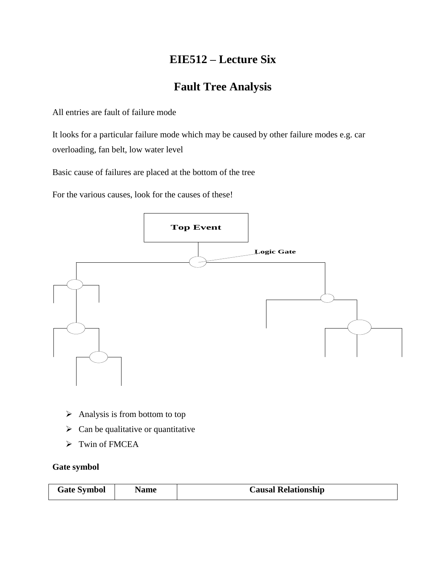# **EIE512 – Lecture Six**

# **Fault Tree Analysis**

All entries are fault of failure mode

It looks for a particular failure mode which may be caused by other failure modes e.g. car overloading, fan belt, low water level

Basic cause of failures are placed at the bottom of the tree

For the various causes, look for the causes of these!



- $\triangleright$  Analysis is from bottom to top
- $\triangleright$  Can be qualitative or quantitative
- $\triangleright$  Twin of FMCEA

### **Gate symbol**

| <b>Causal Relationship</b> |
|----------------------------|
|                            |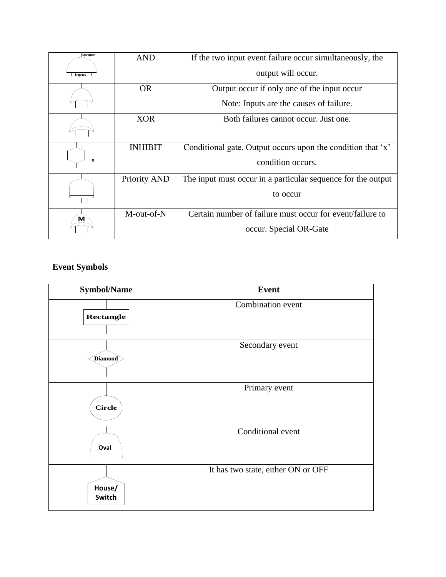| Output | <b>AND</b>          | If the two input event failure occur simultaneously, the     |
|--------|---------------------|--------------------------------------------------------------|
| Input  |                     | output will occur.                                           |
|        | OR.                 | Output occur if only one of the input occur                  |
|        |                     | Note: Inputs are the causes of failure.                      |
|        | <b>XOR</b>          | Both failures cannot occur. Just one.                        |
|        | <b>INHIBIT</b>      | Conditional gate. Output occurs upon the condition that 'x'  |
| X      |                     | condition occurs.                                            |
|        | <b>Priority AND</b> | The input must occur in a particular sequence for the output |
|        |                     | to occur                                                     |
| м      | M-out-of-N          | Certain number of failure must occur for event/failure to    |
|        |                     | occur. Special OR-Gate                                       |

## **Event Symbols**

| <b>Symbol/Name</b> | <b>Event</b>                       |  |  |  |
|--------------------|------------------------------------|--|--|--|
| <b>Rectangle</b>   | Combination event                  |  |  |  |
| Diamond            | Secondary event                    |  |  |  |
| Circle             | Primary event                      |  |  |  |
| Oval               | Conditional event                  |  |  |  |
| House/<br>Switch   | It has two state, either ON or OFF |  |  |  |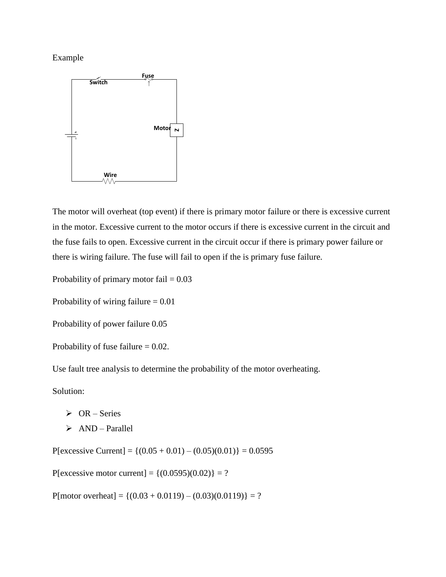Example



The motor will overheat (top event) if there is primary motor failure or there is excessive current in the motor. Excessive current to the motor occurs if there is excessive current in the circuit and the fuse fails to open. Excessive current in the circuit occur if there is primary power failure or there is wiring failure. The fuse will fail to open if the is primary fuse failure.

Probability of primary motor fail  $= 0.03$ 

Probability of wiring failure  $= 0.01$ 

Probability of power failure 0.05

Probability of fuse failure  $= 0.02$ .

Use fault tree analysis to determine the probability of the motor overheating.

Solution:

- $\triangleright$  OR Series
- $\triangleright$  AND Parallel

P[excessive Current] = { $(0.05 + 0.01) - (0.05)(0.01)$ } = 0.0595

P[excessive motor current] =  ${(0.0595)(0.02)} = ?$ 

P[motor overheat] = { $(0.03 + 0.0119) - (0.03)(0.0119)$ } = ?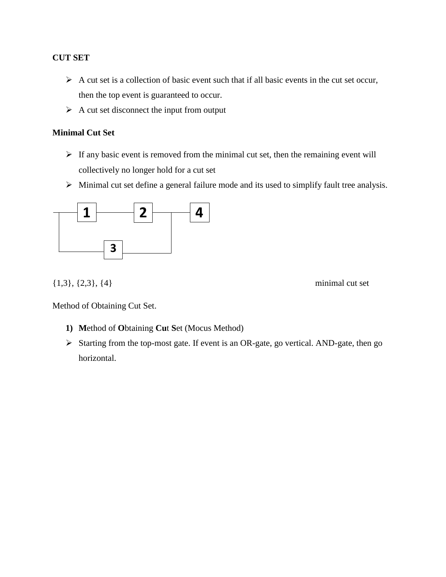### **CUT SET**

- $\triangleright$  A cut set is a collection of basic event such that if all basic events in the cut set occur, then the top event is guaranteed to occur.
- $\triangleright$  A cut set disconnect the input from output

#### **Minimal Cut Set**

- $\triangleright$  If any basic event is removed from the minimal cut set, then the remaining event will collectively no longer hold for a cut set
- Minimal cut set define a general failure mode and its used to simplify fault tree analysis.



 ${1,3}, {2,3}, {4}$  minimal cut set

Method of Obtaining Cut Set.

- **1) M**ethod of **O**btaining **Cu**t **S**et (Mocus Method)
- Starting from the top-most gate. If event is an OR-gate, go vertical. AND-gate, then go horizontal.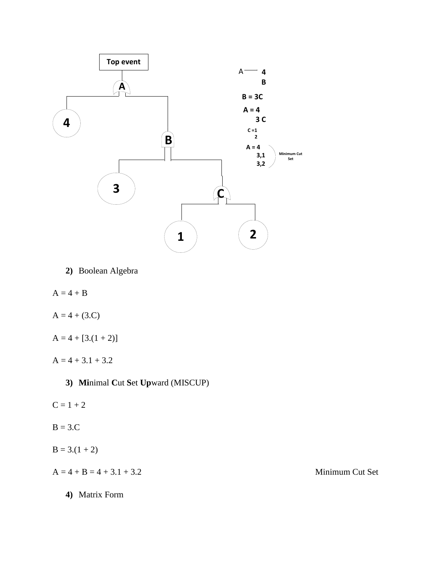

**2)** Boolean Algebra

 $A = 4 + B$ 

 $A = 4 + (3.C)$ 

 $A = 4 + [3(1 + 2)]$ 

 $A = 4 + 3.1 + 3.2$ 

**3) Mi**nimal **C**ut **S**et **Up**ward (MISCUP)

 $C = 1 + 2$ 

 $B = 3.C$ 

 $B = 3(1 + 2)$ 

 $A = 4 + B = 4 + 3.1 + 3.2$  Minimum Cut Set

**4)** Matrix Form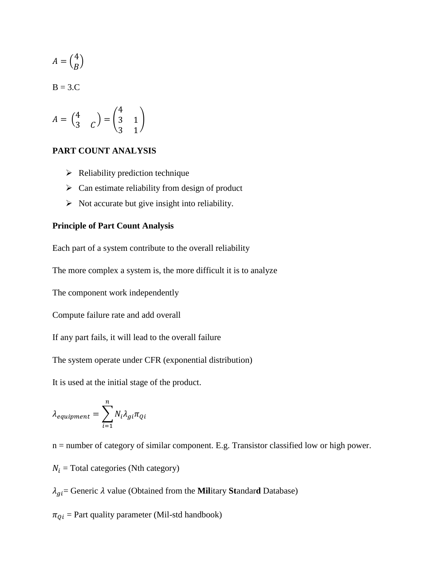$$
A = \binom{4}{B}
$$

 $B = 3.C$ 

$$
A = \begin{pmatrix} 4 \\ 3 & C \end{pmatrix} = \begin{pmatrix} 4 \\ 3 & 1 \\ 3 & 1 \end{pmatrix}
$$

#### **PART COUNT ANALYSIS**

- $\triangleright$  Reliability prediction technique
- $\triangleright$  Can estimate reliability from design of product
- $\triangleright$  Not accurate but give insight into reliability.

#### **Principle of Part Count Analysis**

Each part of a system contribute to the overall reliability

The more complex a system is, the more difficult it is to analyze

The component work independently

Compute failure rate and add overall

If any part fails, it will lead to the overall failure

The system operate under CFR (exponential distribution)

It is used at the initial stage of the product.

$$
\lambda_{equipment} = \sum_{i=1}^{n} N_i \lambda_{gi} \pi_{Qi}
$$

n = number of category of similar component. E.g. Transistor classified low or high power.

 $N_i$  = Total categories (Nth category)

 $\lambda_{gi}$  = Generic  $\lambda$  value (Obtained from the **Mil**itary **Standard** Database)

 $\pi_{0i}$  = Part quality parameter (Mil-std handbook)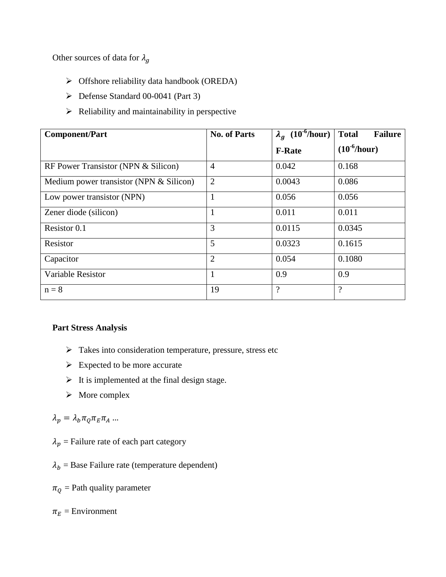Other sources of data for  $\lambda_g$ 

- Offshore reliability data handbook (OREDA)
- Defense Standard 00-0041 (Part 3)
- $\triangleright$  Reliability and maintainability in perspective

| <b>Component/Part</b>                   | <b>No. of Parts</b> | $\lambda_q$ (10 <sup>-6</sup> /hour) | <b>Total</b><br><b>Failure</b> |
|-----------------------------------------|---------------------|--------------------------------------|--------------------------------|
|                                         |                     | <b>F-Rate</b>                        | $(10^{-6}/hour)$               |
| RF Power Transistor (NPN & Silicon)     | $\overline{4}$      | 0.042                                | 0.168                          |
| Medium power transistor (NPN & Silicon) | $\overline{2}$      | 0.0043                               | 0.086                          |
| Low power transistor (NPN)              | 1                   | 0.056                                | 0.056                          |
| Zener diode (silicon)                   | 1                   | 0.011                                | 0.011                          |
| Resistor 0.1                            | 3                   | 0.0115                               | 0.0345                         |
| Resistor                                | 5                   | 0.0323                               | 0.1615                         |
| Capacitor                               | $\overline{2}$      | 0.054                                | 0.1080                         |
| Variable Resistor                       | 1                   | 0.9                                  | 0.9                            |
| $n = 8$                                 | 19                  | $\gamma$                             | $\overline{?}$                 |

### **Part Stress Analysis**

- $\triangleright$  Takes into consideration temperature, pressure, stress etc
- $\triangleright$  Expected to be more accurate
- $\triangleright$  It is implemented at the final design stage.
- $\triangleright$  More complex

# $\lambda_p = \lambda_b \pi_Q \pi_E \pi_A \dots$

- $\lambda_p$  = Failure rate of each part category
- $\lambda_b$  = Base Failure rate (temperature dependent)

 $\pi_0$  = Path quality parameter

 $\pi_E$  = Environment